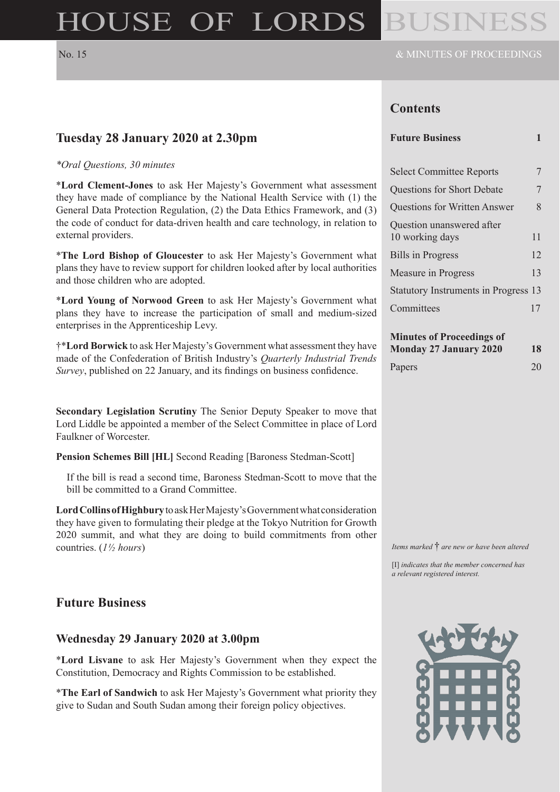# HOUSE OF LORDS

**Tuesday 28 January 2020 at 2.30pm**

*\*Oral Questions, 30 minutes*

and those children who are adopted.

enterprises in the Apprenticeship Levy.

external providers.

# **Contents**

#### **Future Business 1**

| <b>Select Committee Reports</b>              |    |
|----------------------------------------------|----|
| Questions for Short Debate                   | 7  |
| Questions for Written Answer                 | 8  |
| Question unanswered after<br>10 working days | 11 |
| <b>Bills in Progress</b>                     | 12 |
| Measure in Progress                          | 13 |
| Statutory Instruments in Progress 13         |    |
| Committees                                   |    |

# **Minutes of Proceedings of**

| Monday 27 January 2020 | 18 |
|------------------------|----|
| Papers                 | 20 |

**Secondary Legislation Scrutiny** The Senior Deputy Speaker to move that Lord Liddle be appointed a member of the Select Committee in place of Lord Faulkner of Worcester.

\***Lord Clement-Jones** to ask Her Majesty's Government what assessment they have made of compliance by the National Health Service with (1) the General Data Protection Regulation, (2) the Data Ethics Framework, and (3) the code of conduct for data-driven health and care technology, in relation to

\***The Lord Bishop of Gloucester** to ask Her Majesty's Government what plans they have to review support for children looked after by local authorities

\***Lord Young of Norwood Green** to ask Her Majesty's Government what plans they have to increase the participation of small and medium-sized

†\***Lord Borwick** to ask Her Majesty's Government what assessment they have made of the Confederation of British Industry's *Quarterly Industrial Trends Survey*, published on 22 January, and its findings on business confidence.

**Pension Schemes Bill [HL]** Second Reading [Baroness Stedman-Scott]

If the bill is read a second time, Baroness Stedman-Scott to move that the bill be committed to a Grand Committee.

**Lord Collins of Highbury** to ask Her Majesty's Government what consideration they have given to formulating their pledge at the Tokyo Nutrition for Growth 2020 summit, and what they are doing to build commitments from other countries. (*1½ hours*)

### **Future Business**

#### **Wednesday 29 January 2020 at 3.00pm**

\***Lord Lisvane** to ask Her Majesty's Government when they expect the Constitution, Democracy and Rights Commission to be established.

\***The Earl of Sandwich** to ask Her Majesty's Government what priority they give to Sudan and South Sudan among their foreign policy objectives.

*Items marked* † *are new or have been altered*

[I] *indicates that the member concerned has a relevant registered interest.*

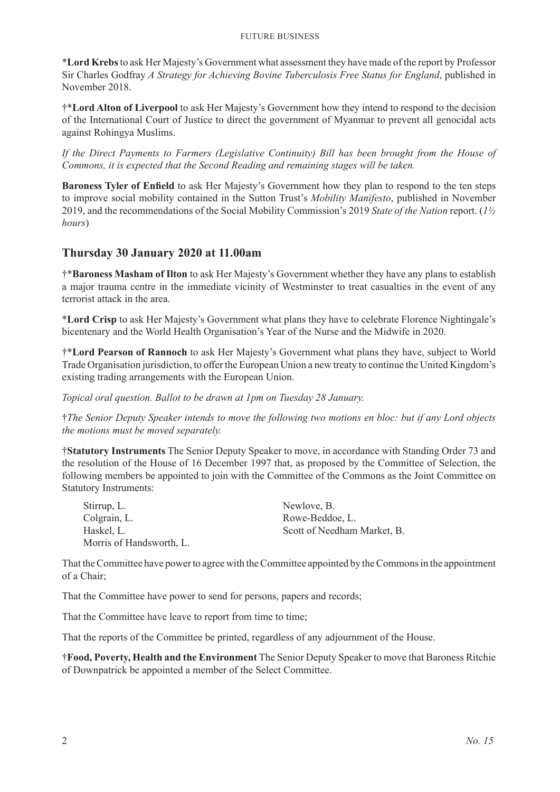#### Future Business

\***Lord Krebs**to ask Her Majesty's Government what assessment they have made of the report by Professor Sir Charles Godfray *A Strategy for Achieving Bovine Tuberculosis Free Status for England*, published in November 2018.

†\***Lord Alton of Liverpool** to ask Her Majesty's Government how they intend to respond to the decision of the International Court of Justice to direct the government of Myanmar to prevent all genocidal acts against Rohingya Muslims.

*If the Direct Payments to Farmers (Legislative Continuity) Bill has been brought from the House of Commons, it is expected that the Second Reading and remaining stages will be taken.*

**Baroness Tyler of Enfield** to ask Her Majesty's Government how they plan to respond to the ten steps to improve social mobility contained in the Sutton Trust's *Mobility Manifesto*, published in November 2019, and the recommendations of the Social Mobility Commission's 2019 *State of the Nation* report. (*1½ hours*)

# **Thursday 30 January 2020 at 11.00am**

†\***Baroness Masham of Ilton** to ask Her Majesty's Government whether they have any plans to establish a major trauma centre in the immediate vicinity of Westminster to treat casualties in the event of any terrorist attack in the area.

\***Lord Crisp** to ask Her Majesty's Government what plans they have to celebrate Florence Nightingale's bicentenary and the World Health Organisation's Year of the Nurse and the Midwife in 2020.

†\***Lord Pearson of Rannoch** to ask Her Majesty's Government what plans they have, subject to World Trade Organisation jurisdiction, to offer the European Union a new treaty to continue the United Kingdom's existing trading arrangements with the European Union.

*Topical oral question. Ballot to be drawn at 1pm on Tuesday 28 January.*

†*The Senior Deputy Speaker intends to move the following two motions en bloc: but if any Lord objects the motions must be moved separately.*

†**Statutory Instruments** The Senior Deputy Speaker to move, in accordance with Standing Order 73 and the resolution of the House of 16 December 1997 that, as proposed by the Committee of Selection, the following members be appointed to join with the Committee of the Commons as the Joint Committee on Statutory Instruments:

| Stirrup, L.              | Newlove, B.                 |
|--------------------------|-----------------------------|
| Colgrain, L.             | Rowe-Beddoe, L.             |
| Haskel, L.               | Scott of Needham Market, B. |
| Morris of Handsworth, L. |                             |

That the Committee have power to agree with the Committee appointed by the Commons in the appointment of a Chair;

That the Committee have power to send for persons, papers and records;

That the Committee have leave to report from time to time;

That the reports of the Committee be printed, regardless of any adjournment of the House.

†**Food, Poverty, Health and the Environment** The Senior Deputy Speaker to move that Baroness Ritchie of Downpatrick be appointed a member of the Select Committee.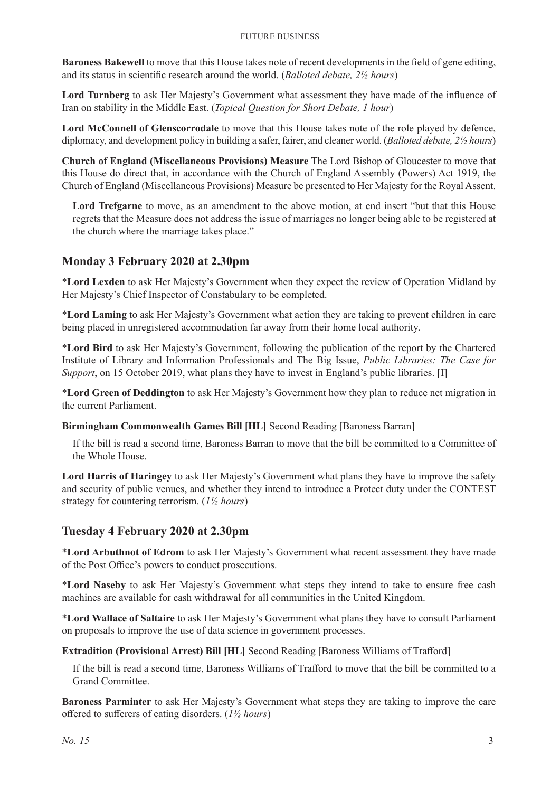**Baroness Bakewell** to move that this House takes note of recent developments in the field of gene editing, and its status in scientific research around the world. (*Balloted debate, 2½ hours*)

**Lord Turnberg** to ask Her Majesty's Government what assessment they have made of the influence of Iran on stability in the Middle East. (*Topical Question for Short Debate, 1 hour*)

**Lord McConnell of Glenscorrodale** to move that this House takes note of the role played by defence, diplomacy, and development policy in building a safer, fairer, and cleaner world. (*Balloted debate, 2½ hours*)

**Church of England (Miscellaneous Provisions) Measure** The Lord Bishop of Gloucester to move that this House do direct that, in accordance with the Church of England Assembly (Powers) Act 1919, the Church of England (Miscellaneous Provisions) Measure be presented to Her Majesty for the Royal Assent.

**Lord Trefgarne** to move, as an amendment to the above motion, at end insert "but that this House regrets that the Measure does not address the issue of marriages no longer being able to be registered at the church where the marriage takes place."

# **Monday 3 February 2020 at 2.30pm**

\***Lord Lexden** to ask Her Majesty's Government when they expect the review of Operation Midland by Her Majesty's Chief Inspector of Constabulary to be completed.

\***Lord Laming** to ask Her Majesty's Government what action they are taking to prevent children in care being placed in unregistered accommodation far away from their home local authority.

\***Lord Bird** to ask Her Majesty's Government, following the publication of the report by the Chartered Institute of Library and Information Professionals and The Big Issue, *Public Libraries: The Case for Support*, on 15 October 2019, what plans they have to invest in England's public libraries. [I]

\***Lord Green of Deddington** to ask Her Majesty's Government how they plan to reduce net migration in the current Parliament.

**Birmingham Commonwealth Games Bill [HL]** Second Reading [Baroness Barran]

If the bill is read a second time, Baroness Barran to move that the bill be committed to a Committee of the Whole House.

**Lord Harris of Haringey** to ask Her Majesty's Government what plans they have to improve the safety and security of public venues, and whether they intend to introduce a Protect duty under the CONTEST strategy for countering terrorism. (*1½ hours*)

# **Tuesday 4 February 2020 at 2.30pm**

\***Lord Arbuthnot of Edrom** to ask Her Majesty's Government what recent assessment they have made of the Post Office's powers to conduct prosecutions.

\***Lord Naseby** to ask Her Majesty's Government what steps they intend to take to ensure free cash machines are available for cash withdrawal for all communities in the United Kingdom.

\***Lord Wallace of Saltaire** to ask Her Majesty's Government what plans they have to consult Parliament on proposals to improve the use of data science in government processes.

**Extradition (Provisional Arrest) Bill [HL]** Second Reading [Baroness Williams of Trafford]

If the bill is read a second time, Baroness Williams of Trafford to move that the bill be committed to a Grand Committee.

**Baroness Parminter** to ask Her Majesty's Government what steps they are taking to improve the care offered to sufferers of eating disorders. (*1½ hours*)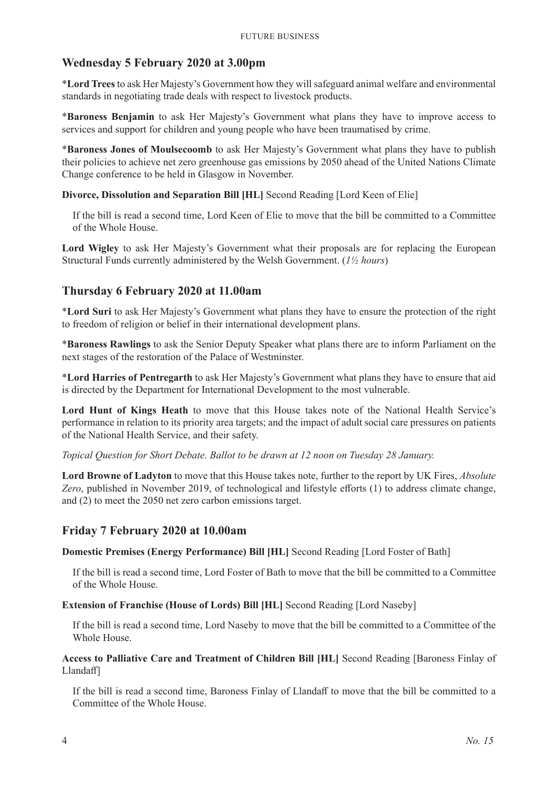# **Wednesday 5 February 2020 at 3.00pm**

\***Lord Trees**to ask Her Majesty's Government how they will safeguard animal welfare and environmental standards in negotiating trade deals with respect to livestock products.

\***Baroness Benjamin** to ask Her Majesty's Government what plans they have to improve access to services and support for children and young people who have been traumatised by crime.

\***Baroness Jones of Moulsecoomb** to ask Her Majesty's Government what plans they have to publish their policies to achieve net zero greenhouse gas emissions by 2050 ahead of the United Nations Climate Change conference to be held in Glasgow in November.

#### **Divorce, Dissolution and Separation Bill [HL]** Second Reading [Lord Keen of Elie]

If the bill is read a second time, Lord Keen of Elie to move that the bill be committed to a Committee of the Whole House.

**Lord Wigley** to ask Her Majesty's Government what their proposals are for replacing the European Structural Funds currently administered by the Welsh Government. (*1½ hours*)

# **Thursday 6 February 2020 at 11.00am**

\***Lord Suri** to ask Her Majesty's Government what plans they have to ensure the protection of the right to freedom of religion or belief in their international development plans.

\***Baroness Rawlings** to ask the Senior Deputy Speaker what plans there are to inform Parliament on the next stages of the restoration of the Palace of Westminster.

\***Lord Harries of Pentregarth** to ask Her Majesty's Government what plans they have to ensure that aid is directed by the Department for International Development to the most vulnerable.

Lord Hunt of Kings Heath to move that this House takes note of the National Health Service's performance in relation to its priority area targets; and the impact of adult social care pressures on patients of the National Health Service, and their safety.

*Topical Question for Short Debate. Ballot to be drawn at 12 noon on Tuesday 28 January.*

**Lord Browne of Ladyton** to move that this House takes note, further to the report by UK Fires, *Absolute Zero*, published in November 2019, of technological and lifestyle efforts (1) to address climate change, and (2) to meet the 2050 net zero carbon emissions target.

# **Friday 7 February 2020 at 10.00am**

**Domestic Premises (Energy Performance) Bill [HL]** Second Reading [Lord Foster of Bath]

If the bill is read a second time, Lord Foster of Bath to move that the bill be committed to a Committee of the Whole House.

#### **Extension of Franchise (House of Lords) Bill [HL]** Second Reading [Lord Naseby]

If the bill is read a second time, Lord Naseby to move that the bill be committed to a Committee of the Whole House.

#### **Access to Palliative Care and Treatment of Children Bill [HL]** Second Reading [Baroness Finlay of Llandaff]

If the bill is read a second time, Baroness Finlay of Llandaff to move that the bill be committed to a Committee of the Whole House.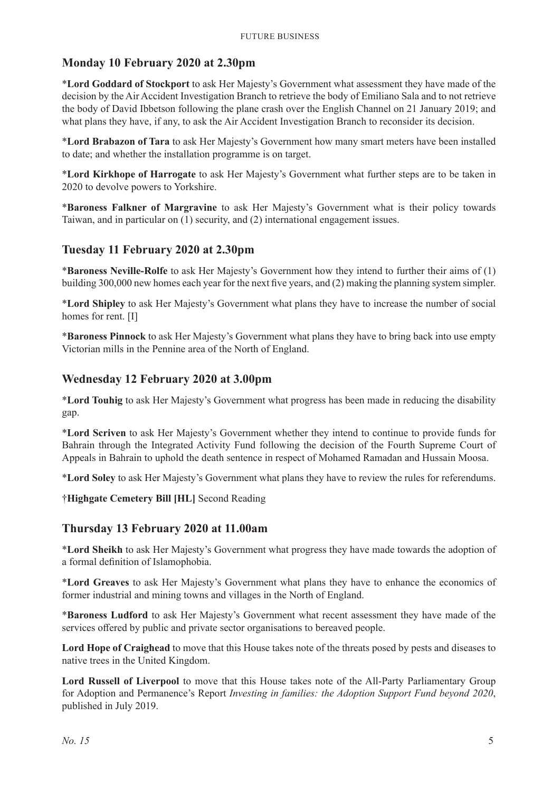# **Monday 10 February 2020 at 2.30pm**

\***Lord Goddard of Stockport** to ask Her Majesty's Government what assessment they have made of the decision by the Air Accident Investigation Branch to retrieve the body of Emiliano Sala and to not retrieve the body of David Ibbetson following the plane crash over the English Channel on 21 January 2019; and what plans they have, if any, to ask the Air Accident Investigation Branch to reconsider its decision.

\***Lord Brabazon of Tara** to ask Her Majesty's Government how many smart meters have been installed to date; and whether the installation programme is on target.

\***Lord Kirkhope of Harrogate** to ask Her Majesty's Government what further steps are to be taken in 2020 to devolve powers to Yorkshire.

\***Baroness Falkner of Margravine** to ask Her Majesty's Government what is their policy towards Taiwan, and in particular on (1) security, and (2) international engagement issues.

# **Tuesday 11 February 2020 at 2.30pm**

\***Baroness Neville-Rolfe** to ask Her Majesty's Government how they intend to further their aims of (1) building 300,000 new homes each year for the next five years, and (2) making the planning system simpler.

\***Lord Shipley** to ask Her Majesty's Government what plans they have to increase the number of social homes for rent. [I]

\***Baroness Pinnock** to ask Her Majesty's Government what plans they have to bring back into use empty Victorian mills in the Pennine area of the North of England.

### **Wednesday 12 February 2020 at 3.00pm**

\***Lord Touhig** to ask Her Majesty's Government what progress has been made in reducing the disability gap.

\***Lord Scriven** to ask Her Majesty's Government whether they intend to continue to provide funds for Bahrain through the Integrated Activity Fund following the decision of the Fourth Supreme Court of Appeals in Bahrain to uphold the death sentence in respect of Mohamed Ramadan and Hussain Moosa.

\***Lord Soley** to ask Her Majesty's Government what plans they have to review the rules for referendums.

†**Highgate Cemetery Bill [HL]** Second Reading

#### **Thursday 13 February 2020 at 11.00am**

\***Lord Sheikh** to ask Her Majesty's Government what progress they have made towards the adoption of a formal definition of Islamophobia.

\***Lord Greaves** to ask Her Majesty's Government what plans they have to enhance the economics of former industrial and mining towns and villages in the North of England.

\***Baroness Ludford** to ask Her Majesty's Government what recent assessment they have made of the services offered by public and private sector organisations to bereaved people.

**Lord Hope of Craighead** to move that this House takes note of the threats posed by pests and diseases to native trees in the United Kingdom.

**Lord Russell of Liverpool** to move that this House takes note of the All-Party Parliamentary Group for Adoption and Permanence's Report *Investing in families: the Adoption Support Fund beyond 2020*, published in July 2019.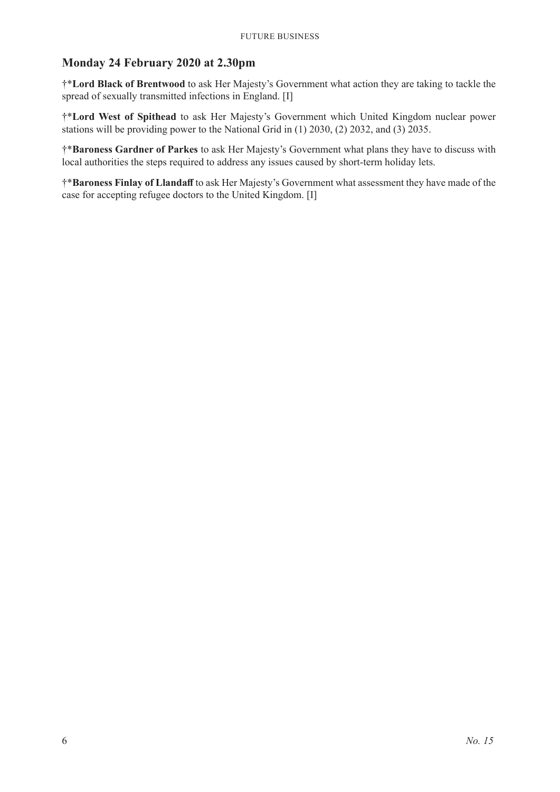# **Monday 24 February 2020 at 2.30pm**

†\***Lord Black of Brentwood** to ask Her Majesty's Government what action they are taking to tackle the spread of sexually transmitted infections in England. [I]

†\***Lord West of Spithead** to ask Her Majesty's Government which United Kingdom nuclear power stations will be providing power to the National Grid in (1) 2030, (2) 2032, and (3) 2035.

†\***Baroness Gardner of Parkes** to ask Her Majesty's Government what plans they have to discuss with local authorities the steps required to address any issues caused by short-term holiday lets.

†\***Baroness Finlay of Llandaff** to ask Her Majesty's Government what assessment they have made of the case for accepting refugee doctors to the United Kingdom. [I]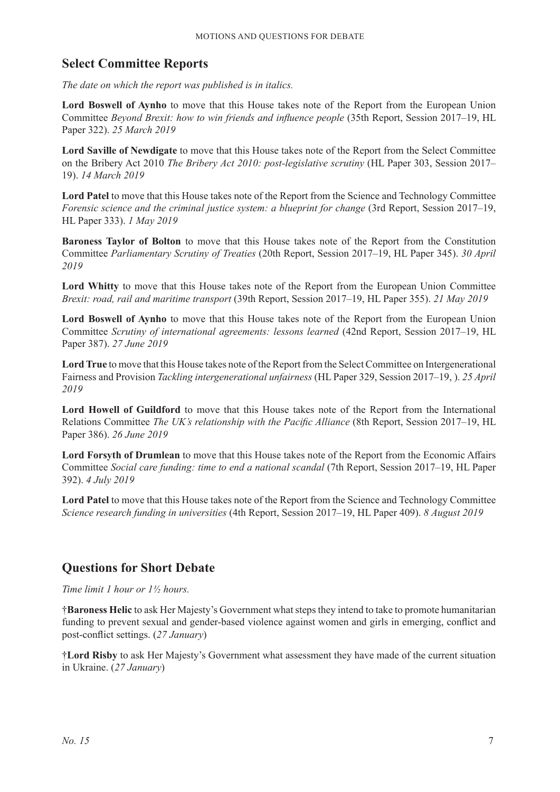# **Select Committee Reports**

*The date on which the report was published is in italics.*

**Lord Boswell of Aynho** to move that this House takes note of the Report from the European Union Committee *Beyond Brexit: how to win friends and influence people* (35th Report, Session 2017–19, HL Paper 322). *25 March 2019*

**Lord Saville of Newdigate** to move that this House takes note of the Report from the Select Committee on the Bribery Act 2010 *The Bribery Act 2010: post-legislative scrutiny* (HL Paper 303, Session 2017– 19). *14 March 2019*

**Lord Patel** to move that this House takes note of the Report from the Science and Technology Committee *Forensic science and the criminal justice system: a blueprint for change* (3rd Report, Session 2017–19, HL Paper 333). *1 May 2019*

**Baroness Taylor of Bolton** to move that this House takes note of the Report from the Constitution Committee *Parliamentary Scrutiny of Treaties* (20th Report, Session 2017–19, HL Paper 345). *30 April 2019*

**Lord Whitty** to move that this House takes note of the Report from the European Union Committee *Brexit: road, rail and maritime transport* (39th Report, Session 2017–19, HL Paper 355). *21 May 2019*

**Lord Boswell of Aynho** to move that this House takes note of the Report from the European Union Committee *Scrutiny of international agreements: lessons learned* (42nd Report, Session 2017–19, HL Paper 387). *27 June 2019*

**Lord True** to move that this House takes note of the Report from the Select Committee on Intergenerational Fairness and Provision *Tackling intergenerational unfairness* (HL Paper 329, Session 2017–19, ). *25 April 2019*

**Lord Howell of Guildford** to move that this House takes note of the Report from the International Relations Committee *The UK's relationship with the Pacific Alliance* (8th Report, Session 2017–19, HL Paper 386). *26 June 2019*

**Lord Forsyth of Drumlean** to move that this House takes note of the Report from the Economic Affairs Committee *Social care funding: time to end a national scandal* (7th Report, Session 2017–19, HL Paper 392). *4 July 2019*

**Lord Patel** to move that this House takes note of the Report from the Science and Technology Committee *Science research funding in universities* (4th Report, Session 2017–19, HL Paper 409). *8 August 2019*

# **Questions for Short Debate**

*Time limit 1 hour or 1½ hours.*

†**Baroness Helic** to ask Her Majesty's Government what steps they intend to take to promote humanitarian funding to prevent sexual and gender-based violence against women and girls in emerging, conflict and post-conflict settings. (*27 January*)

†**Lord Risby** to ask Her Majesty's Government what assessment they have made of the current situation in Ukraine. (*27 January*)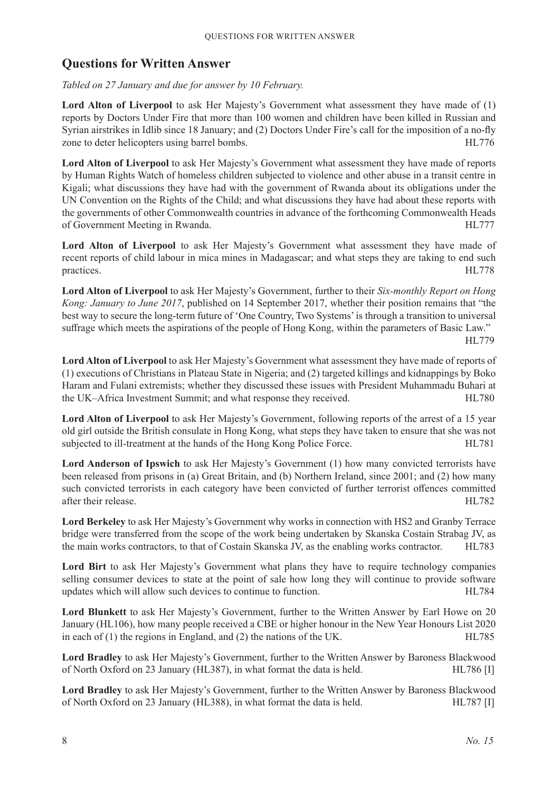# **Questions for Written Answer**

*Tabled on 27 January and due for answer by 10 February.*

Lord Alton of Liverpool to ask Her Majesty's Government what assessment they have made of (1) reports by Doctors Under Fire that more than 100 women and children have been killed in Russian and Syrian airstrikes in Idlib since 18 January; and (2) Doctors Under Fire's call for the imposition of a no-fly zone to deter helicopters using barrel bombs. HL776

**Lord Alton of Liverpool** to ask Her Majesty's Government what assessment they have made of reports by Human Rights Watch of homeless children subjected to violence and other abuse in a transit centre in Kigali; what discussions they have had with the government of Rwanda about its obligations under the UN Convention on the Rights of the Child; and what discussions they have had about these reports with the governments of other Commonwealth countries in advance of the forthcoming Commonwealth Heads of Government Meeting in Rwanda. HL777

Lord Alton of Liverpool to ask Her Majesty's Government what assessment they have made of recent reports of child labour in mica mines in Madagascar; and what steps they are taking to end such practices. HL778

**Lord Alton of Liverpool** to ask Her Majesty's Government, further to their *Six-monthly Report on Hong Kong: January to June 2017*, published on 14 September 2017, whether their position remains that "the best way to secure the long-term future of 'One Country, Two Systems' is through a transition to universal suffrage which meets the aspirations of the people of Hong Kong, within the parameters of Basic Law."

HL779

**Lord Alton of Liverpool** to ask Her Majesty's Government what assessment they have made of reports of (1) executions of Christians in Plateau State in Nigeria; and (2) targeted killings and kidnappings by Boko Haram and Fulani extremists; whether they discussed these issues with President Muhammadu Buhari at the UK–Africa Investment Summit; and what response they received. HL780

**Lord Alton of Liverpool** to ask Her Majesty's Government, following reports of the arrest of a 15 year old girl outside the British consulate in Hong Kong, what steps they have taken to ensure that she was not subjected to ill-treatment at the hands of the Hong Kong Police Force. HL781

**Lord Anderson of Ipswich** to ask Her Majesty's Government (1) how many convicted terrorists have been released from prisons in (a) Great Britain, and (b) Northern Ireland, since 2001; and (2) how many such convicted terrorists in each category have been convicted of further terrorist offences committed after their release. HL782

**Lord Berkeley** to ask Her Majesty's Government why works in connection with HS2 and Granby Terrace bridge were transferred from the scope of the work being undertaken by Skanska Costain Strabag JV, as the main works contractors, to that of Costain Skanska JV, as the enabling works contractor. HL783

**Lord Birt** to ask Her Majesty's Government what plans they have to require technology companies selling consumer devices to state at the point of sale how long they will continue to provide software updates which will allow such devices to continue to function. HL784

**Lord Blunkett** to ask Her Majesty's Government, further to the Written Answer by Earl Howe on 20 January (HL106), how many people received a CBE or higher honour in the New Year Honours List 2020 in each of (1) the regions in England, and (2) the nations of the UK. HL785

**Lord Bradley** to ask Her Majesty's Government, further to the Written Answer by Baroness Blackwood of North Oxford on 23 January (HL387), in what format the data is held. HL786 [I]

**Lord Bradley** to ask Her Majesty's Government, further to the Written Answer by Baroness Blackwood of North Oxford on 23 January (HL388), in what format the data is held. HL787 [I]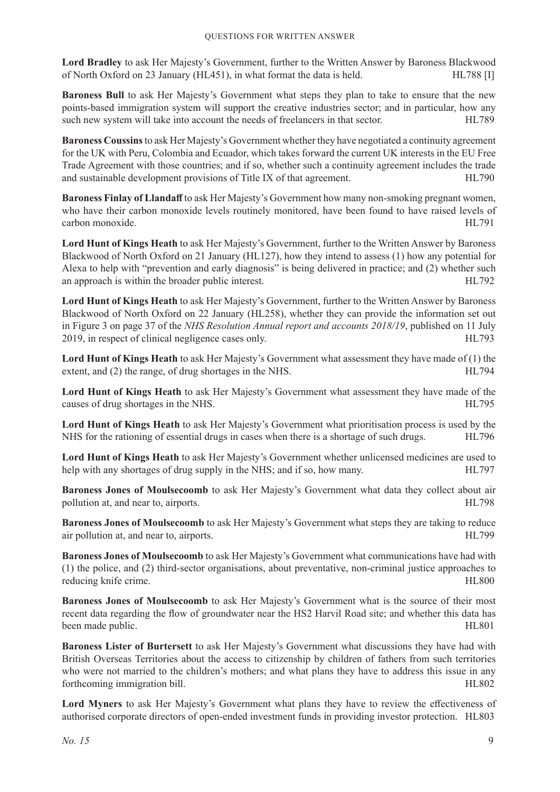**Lord Bradley** to ask Her Majesty's Government, further to the Written Answer by Baroness Blackwood of North Oxford on 23 January (HL451), in what format the data is held. HL788 [I]

**Baroness Bull** to ask Her Majesty's Government what steps they plan to take to ensure that the new points-based immigration system will support the creative industries sector; and in particular, how any such new system will take into account the needs of freelancers in that sector. HL789

**Baroness Coussins** to ask Her Majesty's Government whether they have negotiated a continuity agreement for the UK with Peru, Colombia and Ecuador, which takes forward the current UK interests in the EU Free Trade Agreement with those countries; and if so, whether such a continuity agreement includes the trade and sustainable development provisions of Title IX of that agreement. HL790

**Baroness Finlay of Llandaff** to ask Her Majesty's Government how many non-smoking pregnant women, who have their carbon monoxide levels routinely monitored, have been found to have raised levels of carbon monoxide. HL791

**Lord Hunt of Kings Heath** to ask Her Majesty's Government, further to the Written Answer by Baroness Blackwood of North Oxford on 21 January (HL127), how they intend to assess (1) how any potential for Alexa to help with "prevention and early diagnosis" is being delivered in practice; and (2) whether such an approach is within the broader public interest. HL792

**Lord Hunt of Kings Heath** to ask Her Majesty's Government, further to the Written Answer by Baroness Blackwood of North Oxford on 22 January (HL258), whether they can provide the information set out in Figure 3 on page 37 of the *NHS Resolution Annual report and accounts 2018/19*, published on 11 July 2019, in respect of clinical negligence cases only. HL793

**Lord Hunt of Kings Heath** to ask Her Majesty's Government what assessment they have made of (1) the extent, and (2) the range, of drug shortages in the NHS. HL794

**Lord Hunt of Kings Heath** to ask Her Majesty's Government what assessment they have made of the causes of drug shortages in the NHS. HL795

**Lord Hunt of Kings Heath** to ask Her Majesty's Government what prioritisation process is used by the NHS for the rationing of essential drugs in cases when there is a shortage of such drugs. HL796

**Lord Hunt of Kings Heath** to ask Her Majesty's Government whether unlicensed medicines are used to help with any shortages of drug supply in the NHS; and if so, how many. HL797

**Baroness Jones of Moulsecoomb** to ask Her Majesty's Government what data they collect about air pollution at, and near to, airports. HL798

**Baroness Jones of Moulsecoomb** to ask Her Majesty's Government what steps they are taking to reduce air pollution at, and near to, airports. HL799

**Baroness Jones of Moulsecoomb** to ask Her Majesty's Government what communications have had with (1) the police, and (2) third-sector organisations, about preventative, non-criminal justice approaches to reducing knife crime. HL800

**Baroness Jones of Moulsecoomb** to ask Her Majesty's Government what is the source of their most recent data regarding the flow of groundwater near the HS2 Harvil Road site; and whether this data has been made public. HL801

**Baroness Lister of Burtersett** to ask Her Majesty's Government what discussions they have had with British Overseas Territories about the access to citizenship by children of fathers from such territories who were not married to the children's mothers; and what plans they have to address this issue in any forthcoming immigration bill. HL802

**Lord Myners** to ask Her Majesty's Government what plans they have to review the effectiveness of authorised corporate directors of open-ended investment funds in providing investor protection. HL803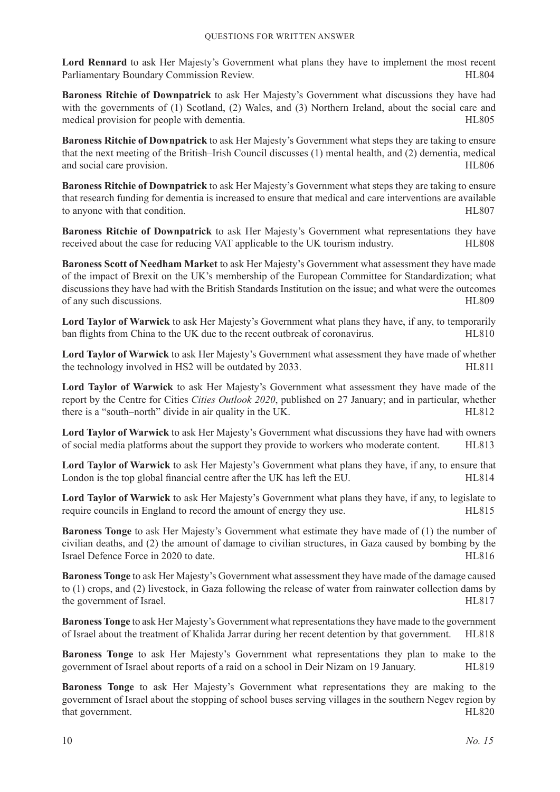**Lord Rennard** to ask Her Majesty's Government what plans they have to implement the most recent Parliamentary Boundary Commission Review. The state of the state of the HL804

**Baroness Ritchie of Downpatrick** to ask Her Majesty's Government what discussions they have had with the governments of (1) Scotland, (2) Wales, and (3) Northern Ireland, about the social care and medical provision for people with dementia. HL805

**Baroness Ritchie of Downpatrick** to ask Her Majesty's Government what steps they are taking to ensure that the next meeting of the British–Irish Council discusses (1) mental health, and (2) dementia, medical and social care provision. HL806

**Baroness Ritchie of Downpatrick** to ask Her Majesty's Government what steps they are taking to ensure that research funding for dementia is increased to ensure that medical and care interventions are available to anyone with that condition. HL807

**Baroness Ritchie of Downpatrick** to ask Her Majesty's Government what representations they have received about the case for reducing VAT applicable to the UK tourism industry. HL808

**Baroness Scott of Needham Market** to ask Her Majesty's Government what assessment they have made of the impact of Brexit on the UK's membership of the European Committee for Standardization; what discussions they have had with the British Standards Institution on the issue; and what were the outcomes of any such discussions. HL809

**Lord Taylor of Warwick** to ask Her Majesty's Government what plans they have, if any, to temporarily ban flights from China to the UK due to the recent outbreak of coronavirus. HL810

**Lord Taylor of Warwick** to ask Her Majesty's Government what assessment they have made of whether the technology involved in HS2 will be outdated by 2033. HL811

**Lord Taylor of Warwick** to ask Her Majesty's Government what assessment they have made of the report by the Centre for Cities *Cities Outlook 2020*, published on 27 January; and in particular, whether there is a "south–north" divide in air quality in the UK. HL812

**Lord Taylor of Warwick** to ask Her Majesty's Government what discussions they have had with owners of social media platforms about the support they provide to workers who moderate content. HL813

**Lord Taylor of Warwick** to ask Her Majesty's Government what plans they have, if any, to ensure that London is the top global financial centre after the UK has left the EU. HL814

**Lord Taylor of Warwick** to ask Her Majesty's Government what plans they have, if any, to legislate to require councils in England to record the amount of energy they use. HL815

**Baroness Tonge** to ask Her Majesty's Government what estimate they have made of (1) the number of civilian deaths, and (2) the amount of damage to civilian structures, in Gaza caused by bombing by the Israel Defence Force in 2020 to date. HL816

**Baroness Tonge** to ask Her Majesty's Government what assessment they have made of the damage caused to (1) crops, and (2) livestock, in Gaza following the release of water from rainwater collection dams by the government of Israel. HL817

**Baroness Tonge** to ask Her Majesty's Government what representations they have made to the government of Israel about the treatment of Khalida Jarrar during her recent detention by that government. HL818

**Baroness Tonge** to ask Her Majesty's Government what representations they plan to make to the government of Israel about reports of a raid on a school in Deir Nizam on 19 January. HL819

**Baroness Tonge** to ask Her Majesty's Government what representations they are making to the government of Israel about the stopping of school buses serving villages in the southern Negev region by that government. HL820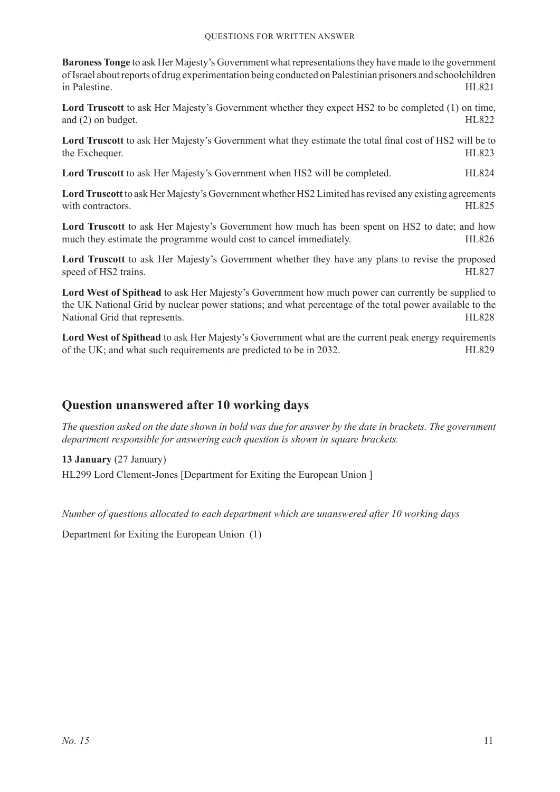**Baroness Tonge** to ask Her Majesty's Government what representations they have made to the government of Israel about reports of drug experimentation being conducted on Palestinian prisoners and schoolchildren in Palestine. HL821

**Lord Truscott** to ask Her Majesty's Government whether they expect HS2 to be completed (1) on time, and (2) on budget. HL822

**Lord Truscott** to ask Her Majesty's Government what they estimate the total final cost of HS2 will be to the Exchequer. HL823

**Lord Truscott** to ask Her Majesty's Government when HS2 will be completed. HL824

**Lord Truscott** to ask Her Majesty's Government whether HS2 Limited has revised any existing agreements with contractors. HL825

**Lord Truscott** to ask Her Majesty's Government how much has been spent on HS2 to date; and how much they estimate the programme would cost to cancel immediately. HL826

**Lord Truscott** to ask Her Majesty's Government whether they have any plans to revise the proposed speed of HS2 trains. HL827

**Lord West of Spithead** to ask Her Majesty's Government how much power can currently be supplied to the UK National Grid by nuclear power stations; and what percentage of the total power available to the National Grid that represents. HL828

**Lord West of Spithead** to ask Her Majesty's Government what are the current peak energy requirements of the UK; and what such requirements are predicted to be in 2032. HL829

# **Question unanswered after 10 working days**

*The question asked on the date shown in bold was due for answer by the date in brackets. The government department responsible for answering each question is shown in square brackets.*

**13 January** (27 January) HL299 Lord Clement-Jones [Department for Exiting the European Union ]

*Number of questions allocated to each department which are unanswered after 10 working days*

Department for Exiting the European Union (1)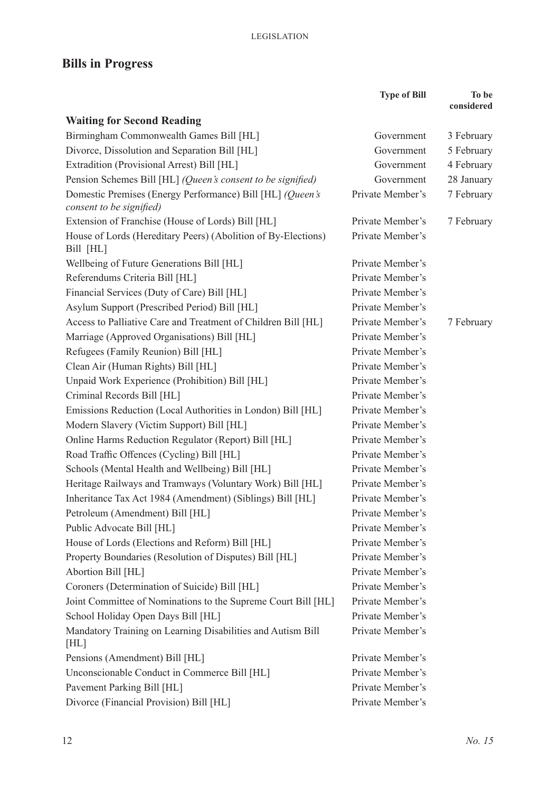# **Bills in Progress**

|                                                                               | <b>Type of Bill</b> | To be<br>considered |
|-------------------------------------------------------------------------------|---------------------|---------------------|
| <b>Waiting for Second Reading</b>                                             |                     |                     |
| Birmingham Commonwealth Games Bill [HL]                                       | Government          | 3 February          |
| Divorce, Dissolution and Separation Bill [HL]                                 | Government          | 5 February          |
| Extradition (Provisional Arrest) Bill [HL]                                    | Government          | 4 February          |
| Pension Schemes Bill [HL] (Queen's consent to be signified)                   | Government          | 28 January          |
| Domestic Premises (Energy Performance) Bill [HL] (Queen's                     | Private Member's    | 7 February          |
| consent to be signified)                                                      |                     |                     |
| Extension of Franchise (House of Lords) Bill [HL]                             | Private Member's    | 7 February          |
| House of Lords (Hereditary Peers) (Abolition of By-Elections)                 | Private Member's    |                     |
| Bill [HL]                                                                     | Private Member's    |                     |
| Wellbeing of Future Generations Bill [HL]                                     | Private Member's    |                     |
| Referendums Criteria Bill [HL]<br>Financial Services (Duty of Care) Bill [HL] | Private Member's    |                     |
|                                                                               | Private Member's    |                     |
| Asylum Support (Prescribed Period) Bill [HL]                                  |                     |                     |
| Access to Palliative Care and Treatment of Children Bill [HL]                 | Private Member's    | 7 February          |
| Marriage (Approved Organisations) Bill [HL]                                   | Private Member's    |                     |
| Refugees (Family Reunion) Bill [HL]                                           | Private Member's    |                     |
| Clean Air (Human Rights) Bill [HL]                                            | Private Member's    |                     |
| Unpaid Work Experience (Prohibition) Bill [HL]                                | Private Member's    |                     |
| Criminal Records Bill [HL]                                                    | Private Member's    |                     |
| Emissions Reduction (Local Authorities in London) Bill [HL]                   | Private Member's    |                     |
| Modern Slavery (Victim Support) Bill [HL]                                     | Private Member's    |                     |
| Online Harms Reduction Regulator (Report) Bill [HL]                           | Private Member's    |                     |
| Road Traffic Offences (Cycling) Bill [HL]                                     | Private Member's    |                     |
| Schools (Mental Health and Wellbeing) Bill [HL]                               | Private Member's    |                     |
| Heritage Railways and Tramways (Voluntary Work) Bill [HL]                     | Private Member's    |                     |
| Inheritance Tax Act 1984 (Amendment) (Siblings) Bill [HL]                     | Private Member's    |                     |
| Petroleum (Amendment) Bill [HL]                                               | Private Member's    |                     |
| Public Advocate Bill [HL]                                                     | Private Member's    |                     |
| House of Lords (Elections and Reform) Bill [HL]                               | Private Member's    |                     |
| Property Boundaries (Resolution of Disputes) Bill [HL]                        | Private Member's    |                     |
| Abortion Bill [HL]                                                            | Private Member's    |                     |
| Coroners (Determination of Suicide) Bill [HL]                                 | Private Member's    |                     |
| Joint Committee of Nominations to the Supreme Court Bill [HL]                 | Private Member's    |                     |
| School Holiday Open Days Bill [HL]                                            | Private Member's    |                     |
| Mandatory Training on Learning Disabilities and Autism Bill<br>[HL]           | Private Member's    |                     |
| Pensions (Amendment) Bill [HL]                                                | Private Member's    |                     |
| Unconscionable Conduct in Commerce Bill [HL]                                  | Private Member's    |                     |
| Pavement Parking Bill [HL]                                                    | Private Member's    |                     |
| Divorce (Financial Provision) Bill [HL]                                       | Private Member's    |                     |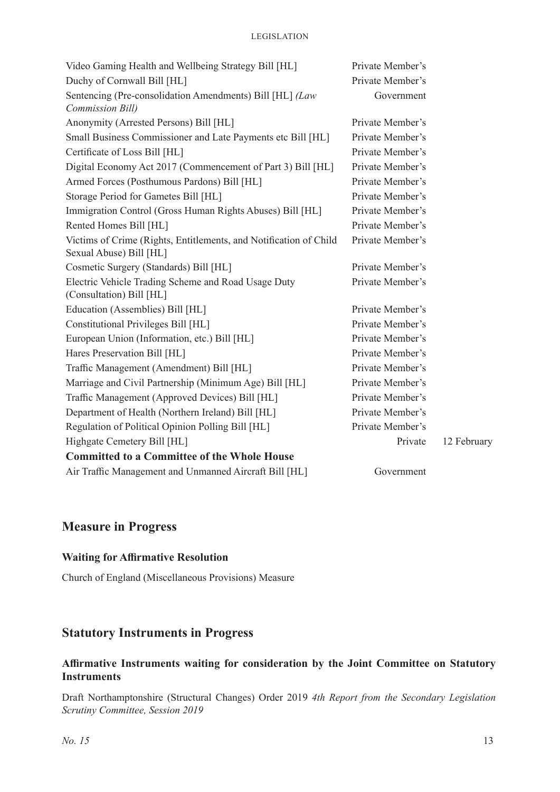| Video Gaming Health and Wellbeing Strategy Bill [HL]                                         | Private Member's |             |
|----------------------------------------------------------------------------------------------|------------------|-------------|
| Duchy of Cornwall Bill [HL]                                                                  | Private Member's |             |
| Sentencing (Pre-consolidation Amendments) Bill [HL] (Law<br>Commission Bill)                 | Government       |             |
| Anonymity (Arrested Persons) Bill [HL]                                                       | Private Member's |             |
| Small Business Commissioner and Late Payments etc Bill [HL]                                  | Private Member's |             |
| Certificate of Loss Bill [HL]                                                                | Private Member's |             |
| Digital Economy Act 2017 (Commencement of Part 3) Bill [HL]                                  | Private Member's |             |
| Armed Forces (Posthumous Pardons) Bill [HL]                                                  | Private Member's |             |
| Storage Period for Gametes Bill [HL]                                                         | Private Member's |             |
| Immigration Control (Gross Human Rights Abuses) Bill [HL]                                    | Private Member's |             |
| Rented Homes Bill [HL]                                                                       | Private Member's |             |
| Victims of Crime (Rights, Entitlements, and Notification of Child<br>Sexual Abuse) Bill [HL] | Private Member's |             |
| Cosmetic Surgery (Standards) Bill [HL]                                                       | Private Member's |             |
| Electric Vehicle Trading Scheme and Road Usage Duty<br>(Consultation) Bill [HL]              | Private Member's |             |
| Education (Assemblies) Bill [HL]                                                             | Private Member's |             |
| Constitutional Privileges Bill [HL]                                                          | Private Member's |             |
| European Union (Information, etc.) Bill [HL]                                                 | Private Member's |             |
| Hares Preservation Bill [HL]                                                                 | Private Member's |             |
| Traffic Management (Amendment) Bill [HL]                                                     | Private Member's |             |
| Marriage and Civil Partnership (Minimum Age) Bill [HL]                                       | Private Member's |             |
| Traffic Management (Approved Devices) Bill [HL]                                              | Private Member's |             |
| Department of Health (Northern Ireland) Bill [HL]                                            | Private Member's |             |
| Regulation of Political Opinion Polling Bill [HL]                                            | Private Member's |             |
| Highgate Cemetery Bill [HL]                                                                  | Private          | 12 February |
| <b>Committed to a Committee of the Whole House</b>                                           |                  |             |
| Air Traffic Management and Unmanned Aircraft Bill [HL]                                       | Government       |             |

# **Measure in Progress**

#### **Waiting for Affirmative Resolution**

Church of England (Miscellaneous Provisions) Measure

# **Statutory Instruments in Progress**

# **Affirmative Instruments waiting for consideration by the Joint Committee on Statutory Instruments**

Draft Northamptonshire (Structural Changes) Order 2019 *4th Report from the Secondary Legislation Scrutiny Committee, Session 2019*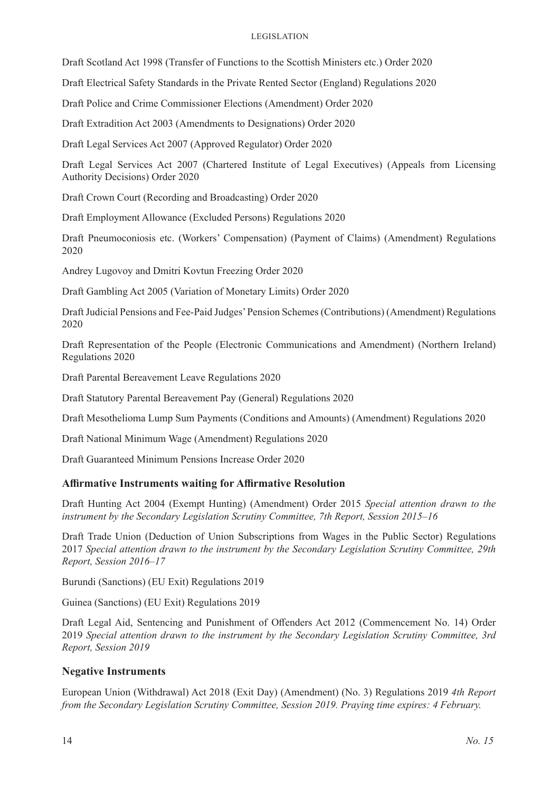#### Legislation

Draft Scotland Act 1998 (Transfer of Functions to the Scottish Ministers etc.) Order 2020

Draft Electrical Safety Standards in the Private Rented Sector (England) Regulations 2020

Draft Police and Crime Commissioner Elections (Amendment) Order 2020

Draft Extradition Act 2003 (Amendments to Designations) Order 2020

Draft Legal Services Act 2007 (Approved Regulator) Order 2020

Draft Legal Services Act 2007 (Chartered Institute of Legal Executives) (Appeals from Licensing Authority Decisions) Order 2020

Draft Crown Court (Recording and Broadcasting) Order 2020

Draft Employment Allowance (Excluded Persons) Regulations 2020

Draft Pneumoconiosis etc. (Workers' Compensation) (Payment of Claims) (Amendment) Regulations 2020

Andrey Lugovoy and Dmitri Kovtun Freezing Order 2020

Draft Gambling Act 2005 (Variation of Monetary Limits) Order 2020

Draft Judicial Pensions and Fee-Paid Judges' Pension Schemes (Contributions) (Amendment) Regulations 2020

Draft Representation of the People (Electronic Communications and Amendment) (Northern Ireland) Regulations 2020

Draft Parental Bereavement Leave Regulations 2020

Draft Statutory Parental Bereavement Pay (General) Regulations 2020

Draft Mesothelioma Lump Sum Payments (Conditions and Amounts) (Amendment) Regulations 2020

Draft National Minimum Wage (Amendment) Regulations 2020

Draft Guaranteed Minimum Pensions Increase Order 2020

#### **Affirmative Instruments waiting for Affirmative Resolution**

Draft Hunting Act 2004 (Exempt Hunting) (Amendment) Order 2015 *Special attention drawn to the instrument by the Secondary Legislation Scrutiny Committee, 7th Report, Session 2015–16*

Draft Trade Union (Deduction of Union Subscriptions from Wages in the Public Sector) Regulations 2017 *Special attention drawn to the instrument by the Secondary Legislation Scrutiny Committee, 29th Report, Session 2016–17*

Burundi (Sanctions) (EU Exit) Regulations 2019

Guinea (Sanctions) (EU Exit) Regulations 2019

Draft Legal Aid, Sentencing and Punishment of Offenders Act 2012 (Commencement No. 14) Order 2019 *Special attention drawn to the instrument by the Secondary Legislation Scrutiny Committee, 3rd Report, Session 2019*

#### **Negative Instruments**

European Union (Withdrawal) Act 2018 (Exit Day) (Amendment) (No. 3) Regulations 2019 *4th Report from the Secondary Legislation Scrutiny Committee, Session 2019. Praying time expires: 4 February.*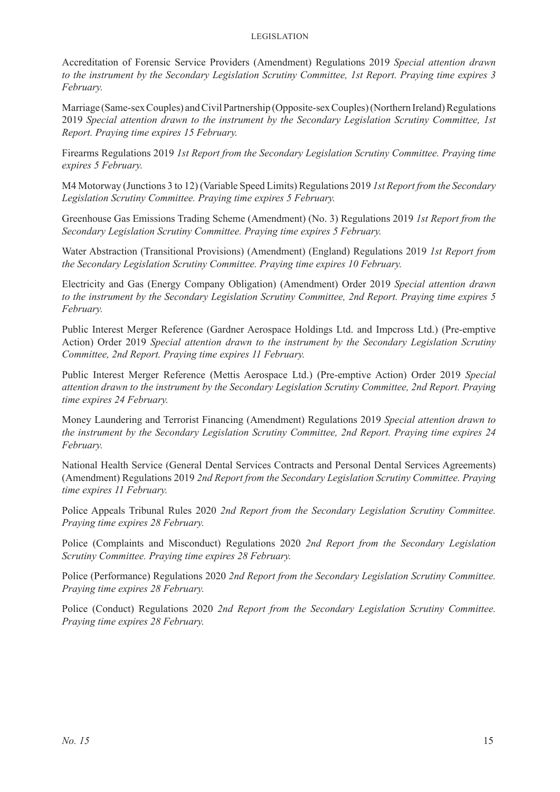#### Legislation

Accreditation of Forensic Service Providers (Amendment) Regulations 2019 *Special attention drawn to the instrument by the Secondary Legislation Scrutiny Committee, 1st Report. Praying time expires 3 February.* 

Marriage (Same-sex Couples) and Civil Partnership (Opposite-sex Couples) (Northern Ireland) Regulations 2019 *Special attention drawn to the instrument by the Secondary Legislation Scrutiny Committee, 1st Report. Praying time expires 15 February.* 

Firearms Regulations 2019 *1st Report from the Secondary Legislation Scrutiny Committee. Praying time expires 5 February.* 

M4 Motorway (Junctions 3 to 12) (Variable Speed Limits) Regulations 2019 *1st Report from the Secondary Legislation Scrutiny Committee. Praying time expires 5 February.* 

Greenhouse Gas Emissions Trading Scheme (Amendment) (No. 3) Regulations 2019 *1st Report from the Secondary Legislation Scrutiny Committee. Praying time expires 5 February.* 

Water Abstraction (Transitional Provisions) (Amendment) (England) Regulations 2019 *1st Report from the Secondary Legislation Scrutiny Committee. Praying time expires 10 February.* 

Electricity and Gas (Energy Company Obligation) (Amendment) Order 2019 *Special attention drawn to the instrument by the Secondary Legislation Scrutiny Committee, 2nd Report. Praying time expires 5 February.* 

Public Interest Merger Reference (Gardner Aerospace Holdings Ltd. and Impcross Ltd.) (Pre-emptive Action) Order 2019 *Special attention drawn to the instrument by the Secondary Legislation Scrutiny Committee, 2nd Report. Praying time expires 11 February.* 

Public Interest Merger Reference (Mettis Aerospace Ltd.) (Pre-emptive Action) Order 2019 *Special attention drawn to the instrument by the Secondary Legislation Scrutiny Committee, 2nd Report. Praying time expires 24 February.* 

Money Laundering and Terrorist Financing (Amendment) Regulations 2019 *Special attention drawn to the instrument by the Secondary Legislation Scrutiny Committee, 2nd Report. Praying time expires 24 February.* 

National Health Service (General Dental Services Contracts and Personal Dental Services Agreements) (Amendment) Regulations 2019 *2nd Report from the Secondary Legislation Scrutiny Committee. Praying time expires 11 February.* 

Police Appeals Tribunal Rules 2020 *2nd Report from the Secondary Legislation Scrutiny Committee. Praying time expires 28 February.* 

Police (Complaints and Misconduct) Regulations 2020 *2nd Report from the Secondary Legislation Scrutiny Committee. Praying time expires 28 February.* 

Police (Performance) Regulations 2020 *2nd Report from the Secondary Legislation Scrutiny Committee. Praying time expires 28 February.* 

Police (Conduct) Regulations 2020 *2nd Report from the Secondary Legislation Scrutiny Committee. Praying time expires 28 February.*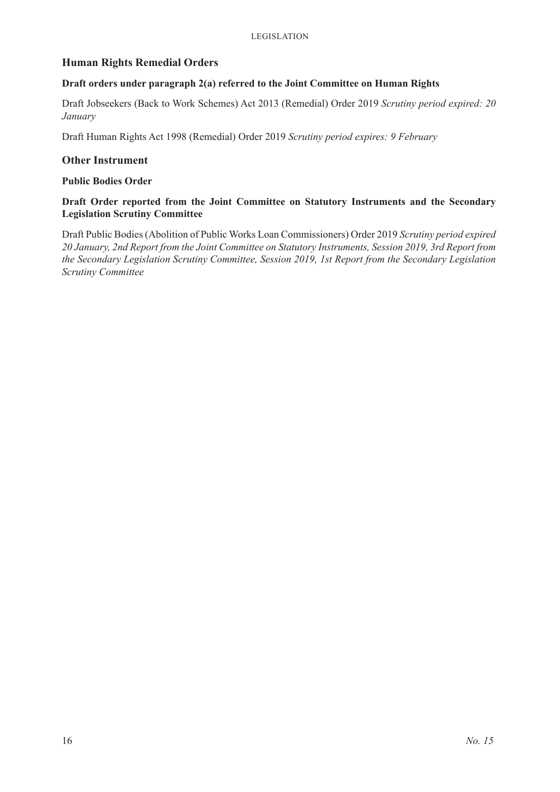### **Human Rights Remedial Orders**

#### **Draft orders under paragraph 2(a) referred to the Joint Committee on Human Rights**

Draft Jobseekers (Back to Work Schemes) Act 2013 (Remedial) Order 2019 *Scrutiny period expired: 20 January*

Draft Human Rights Act 1998 (Remedial) Order 2019 *Scrutiny period expires: 9 February*

#### **Other Instrument**

#### **Public Bodies Order**

#### **Draft Order reported from the Joint Committee on Statutory Instruments and the Secondary Legislation Scrutiny Committee**

Draft Public Bodies (Abolition of Public Works Loan Commissioners) Order 2019 *Scrutiny period expired 20 January, 2nd Report from the Joint Committee on Statutory Instruments, Session 2019, 3rd Report from the Secondary Legislation Scrutiny Committee, Session 2019, 1st Report from the Secondary Legislation Scrutiny Committee*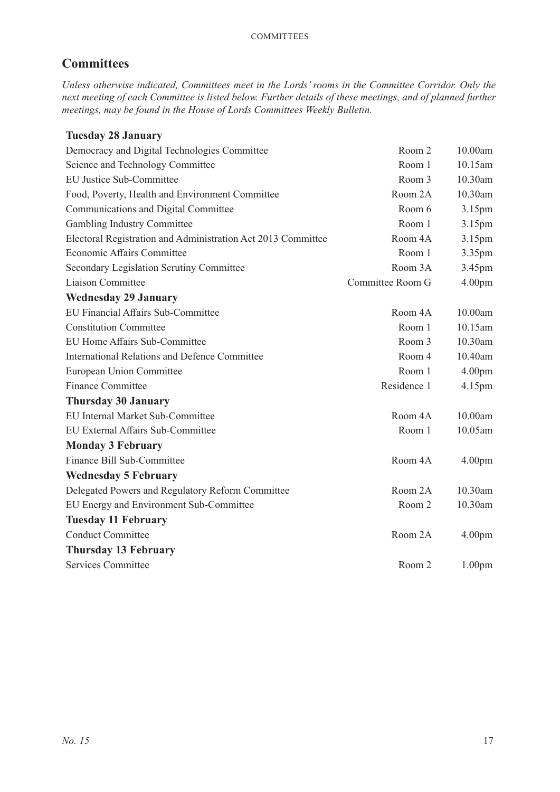# **Committees**

*Unless otherwise indicated, Committees meet in the Lords' rooms in the Committee Corridor. Only the next meeting of each Committee is listed below. Further details of these meetings, and of planned further meetings, may be found in the House of Lords Committees Weekly Bulletin.*

# **Tuesday 28 January**

| Democracy and Digital Technologies Committee                 | Room 2           | 10.00am            |
|--------------------------------------------------------------|------------------|--------------------|
| Science and Technology Committee                             | Room 1           | 10.15am            |
| <b>EU Justice Sub-Committee</b>                              | Room 3           | 10.30am            |
| Food, Poverty, Health and Environment Committee              | Room 2A          | 10.30am            |
| Communications and Digital Committee                         | Room 6           | 3.15pm             |
| Gambling Industry Committee                                  | Room 1           | 3.15pm             |
| Electoral Registration and Administration Act 2013 Committee | Room 4A          | 3.15pm             |
| Economic Affairs Committee                                   | Room 1           | 3.35pm             |
| Secondary Legislation Scrutiny Committee                     | Room 3A          | 3.45pm             |
| Liaison Committee                                            | Committee Room G | 4.00 <sub>pm</sub> |
| <b>Wednesday 29 January</b>                                  |                  |                    |
| EU Financial Affairs Sub-Committee                           | Room 4A          | 10.00am            |
| <b>Constitution Committee</b>                                | Room 1           | 10.15am            |
| EU Home Affairs Sub-Committee                                | Room 3           | 10.30am            |
| <b>International Relations and Defence Committee</b>         | Room 4           | 10.40am            |
| <b>European Union Committee</b>                              | Room 1           | 4.00 <sub>pm</sub> |
| Finance Committee                                            | Residence 1      | 4.15pm             |
| <b>Thursday 30 January</b>                                   |                  |                    |
| EU Internal Market Sub-Committee                             | Room 4A          | 10.00am            |
| EU External Affairs Sub-Committee                            | Room 1           | 10.05am            |
| <b>Monday 3 February</b>                                     |                  |                    |
| Finance Bill Sub-Committee                                   | Room 4A          | 4.00 <sub>pm</sub> |
| <b>Wednesday 5 February</b>                                  |                  |                    |
| Delegated Powers and Regulatory Reform Committee             | Room 2A          | 10.30am            |
| EU Energy and Environment Sub-Committee                      | Room 2           | 10.30am            |
| <b>Tuesday 11 February</b>                                   |                  |                    |
| <b>Conduct Committee</b>                                     | Room 2A          | 4.00 <sub>pm</sub> |
| <b>Thursday 13 February</b>                                  |                  |                    |
| <b>Services Committee</b>                                    | Room 2           | 1.00 <sub>pm</sub> |
|                                                              |                  |                    |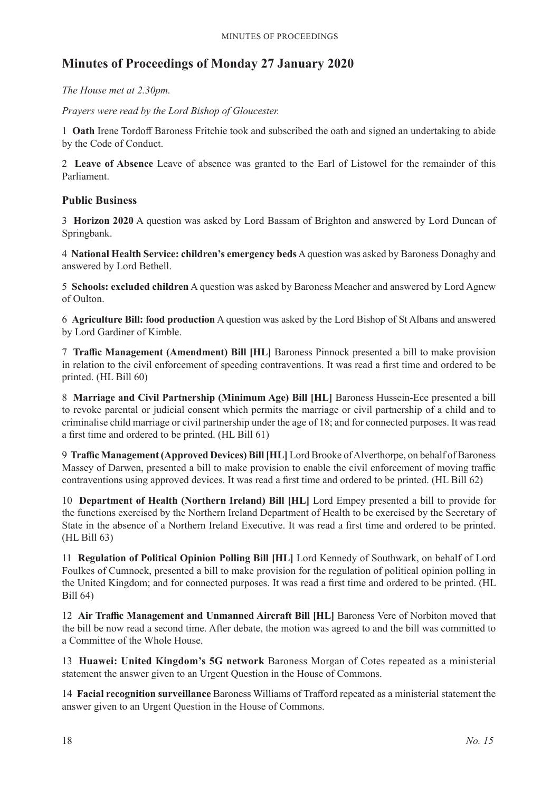# **Minutes of Proceedings of Monday 27 January 2020**

*The House met at 2.30pm.*

*Prayers were read by the Lord Bishop of Gloucester.*

1 **Oath** Irene Tordoff Baroness Fritchie took and subscribed the oath and signed an undertaking to abide by the Code of Conduct.

2 **Leave of Absence** Leave of absence was granted to the Earl of Listowel for the remainder of this Parliament.

# **Public Business**

3 **Horizon 2020** A question was asked by Lord Bassam of Brighton and answered by Lord Duncan of Springbank.

4 **National Health Service: children's emergency beds** A question was asked by Baroness Donaghy and answered by Lord Bethell.

5 **Schools: excluded children** A question was asked by Baroness Meacher and answered by Lord Agnew of Oulton.

6 **Agriculture Bill: food production** A question was asked by the Lord Bishop of St Albans and answered by Lord Gardiner of Kimble.

7 **Traffic Management (Amendment) Bill [HL]** Baroness Pinnock presented a bill to make provision in relation to the civil enforcement of speeding contraventions. It was read a first time and ordered to be printed. (HL Bill 60)

8 **Marriage and Civil Partnership (Minimum Age) Bill [HL]** Baroness Hussein-Ece presented a bill to revoke parental or judicial consent which permits the marriage or civil partnership of a child and to criminalise child marriage or civil partnership under the age of 18; and for connected purposes. It was read a first time and ordered to be printed. (HL Bill 61)

9 **Traffic Management (Approved Devices) Bill [HL]** Lord Brooke of Alverthorpe, on behalf of Baroness Massey of Darwen, presented a bill to make provision to enable the civil enforcement of moving traffic contraventions using approved devices. It was read a first time and ordered to be printed. (HL Bill 62)

10 **Department of Health (Northern Ireland) Bill [HL]** Lord Empey presented a bill to provide for the functions exercised by the Northern Ireland Department of Health to be exercised by the Secretary of State in the absence of a Northern Ireland Executive. It was read a first time and ordered to be printed. (HL Bill 63)

11 **Regulation of Political Opinion Polling Bill [HL]** Lord Kennedy of Southwark, on behalf of Lord Foulkes of Cumnock, presented a bill to make provision for the regulation of political opinion polling in the United Kingdom; and for connected purposes. It was read a first time and ordered to be printed. (HL Bill 64)

12 **Air Traffic Management and Unmanned Aircraft Bill [HL]** Baroness Vere of Norbiton moved that the bill be now read a second time. After debate, the motion was agreed to and the bill was committed to a Committee of the Whole House.

13 **Huawei: United Kingdom's 5G network** Baroness Morgan of Cotes repeated as a ministerial statement the answer given to an Urgent Question in the House of Commons.

14 **Facial recognition surveillance** Baroness Williams of Trafford repeated as a ministerial statement the answer given to an Urgent Question in the House of Commons.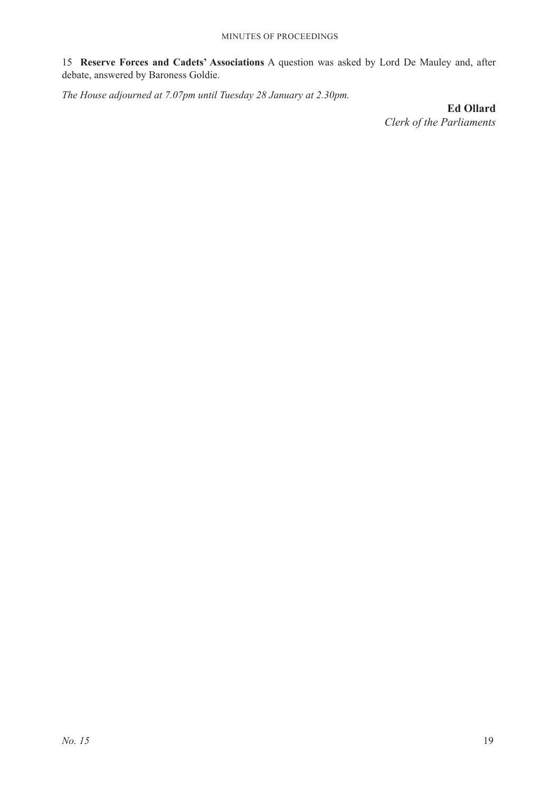15 **Reserve Forces and Cadets' Associations** A question was asked by Lord De Mauley and, after debate, answered by Baroness Goldie.

*The House adjourned at 7.07pm until Tuesday 28 January at 2.30pm.*

**Ed Ollard** *Clerk of the Parliaments*